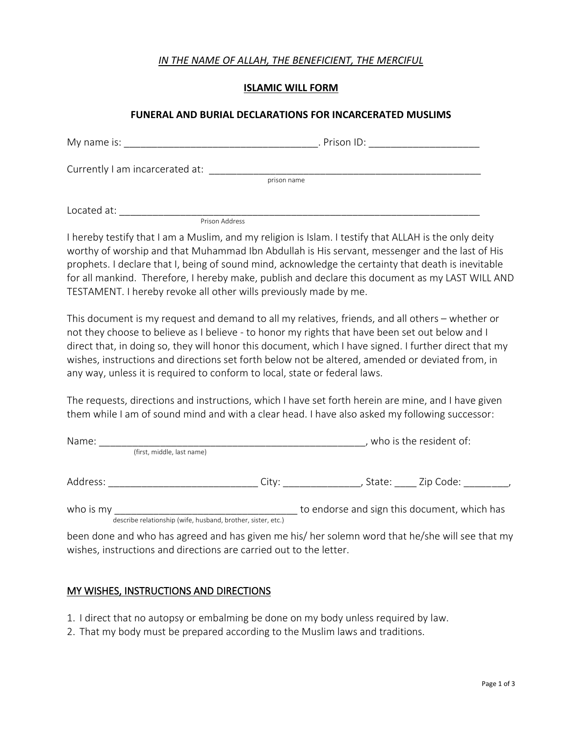## *IN THE NAME OF ALLAH, THE BENEFICIENT, THE MERCIFUL*

#### **ISLAMIC WILL FORM**

#### **FUNERAL AND BURIAL DECLARATIONS FOR INCARCERATED MUSLIMS**

| My name is:                     | . Prison ID: |
|---------------------------------|--------------|
| Currently I am incarcerated at: |              |
|                                 | prison name  |
| Located at:                     |              |

Prison Address

I hereby testify that I am a Muslim, and my religion is Islam. I testify that ALLAH is the only deity worthy of worship and that Muhammad Ibn Abdullah is His servant, messenger and the last of His prophets. I declare that I, being of sound mind, acknowledge the certainty that death is inevitable for all mankind. Therefore, I hereby make, publish and declare this document as my LAST WILL AND TESTAMENT. I hereby revoke all other wills previously made by me.

This document is my request and demand to all my relatives, friends, and all others – whether or not they choose to believe as I believe - to honor my rights that have been set out below and I direct that, in doing so, they will honor this document, which I have signed. I further direct that my wishes, instructions and directions set forth below not be altered, amended or deviated from, in any way, unless it is required to conform to local, state or federal laws.

The requests, directions and instructions, which I have set forth herein are mine, and I have given them while I am of sound mind and with a clear head. I have also asked my following successor:

| Name:                      |  |       | who is the resident of:                      |  |  |
|----------------------------|--|-------|----------------------------------------------|--|--|
| (first, middle, last name) |  |       |                                              |  |  |
| Address:                   |  | City: | Zip Code:<br>State:                          |  |  |
| who is my                  |  |       | to endorse and sign this document, which has |  |  |

describe relationship (wife, husband, brother, sister, etc.)

been done and who has agreed and has given me his/ her solemn word that he/she will see that my wishes, instructions and directions are carried out to the letter.

### MY WISHES, INSTRUCTIONS AND DIRECTIONS

- 1. I direct that no autopsy or embalming be done on my body unless required by law.
- 2. That my body must be prepared according to the Muslim laws and traditions.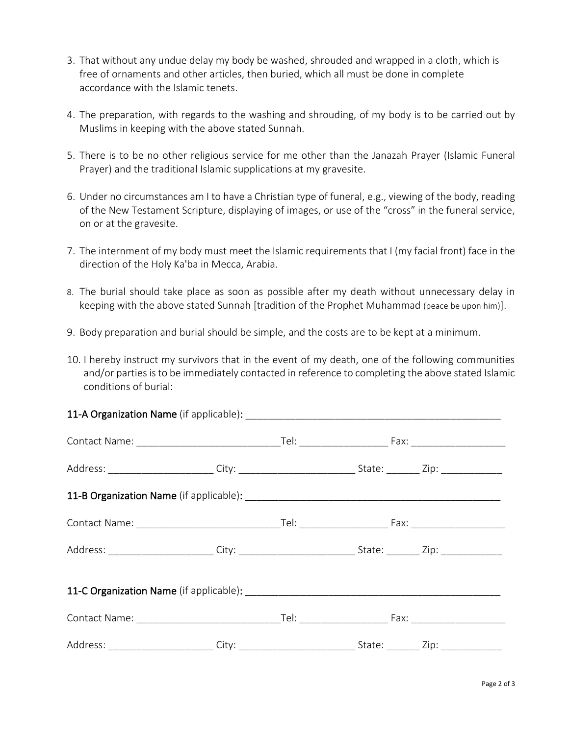- 3. That without any undue delay my body be washed, shrouded and wrapped in a cloth, which is free of ornaments and other articles, then buried, which all must be done in complete accordance with the Islamic tenets.
- 4. The preparation, with regards to the washing and shrouding, of my body is to be carried out by Muslims in keeping with the above stated Sunnah.
- 5. There is to be no other religious service for me other than the Janazah Prayer (Islamic Funeral Prayer) and the traditional Islamic supplications at my gravesite.
- 6. Under no circumstances am I to have a Christian type of funeral, e.g., viewing of the body, reading of the New Testament Scripture, displaying of images, or use of the "cross" in the funeral service, on or at the gravesite.
- 7. The internment of my body must meet the Islamic requirements that I (my facial front) face in the direction of the Holy Ka'ba in Mecca, Arabia.
- 8. The burial should take place as soon as possible after my death without unnecessary delay in keeping with the above stated Sunnah [tradition of the Prophet Muhammad (peace be upon him)].
- 9. Body preparation and burial should be simple, and the costs are to be kept at a minimum.
- 10. I hereby instruct my survivors that in the event of my death, one of the following communities and/or parties is to be immediately contacted in reference to completing the above stated Islamic conditions of burial: